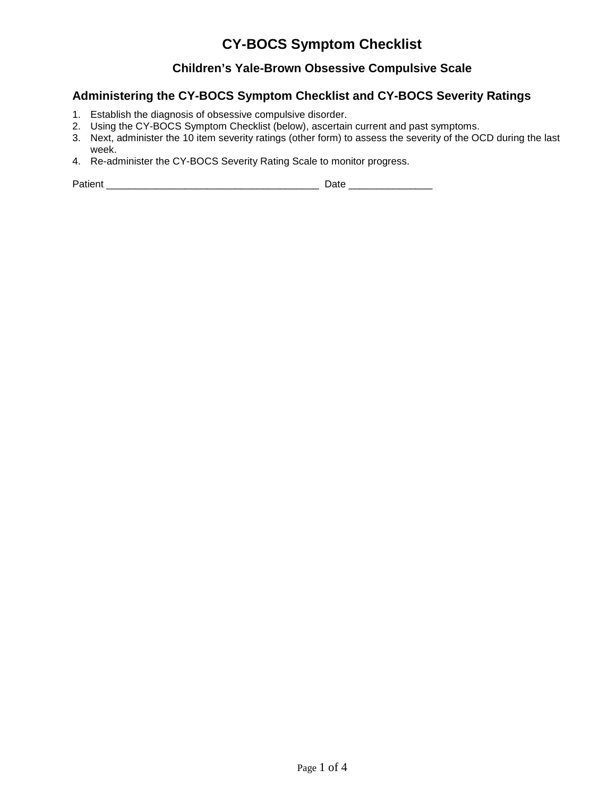### **Children's Yale-Brown Obsessive Compulsive Scale**

## **Administering the CY-BOCS Symptom Checklist and CY-BOCS Severity Ratings**

- 1. Establish the diagnosis of obsessive compulsive disorder.
- 2. Using the CY-BOCS Symptom Checklist (below), ascertain current and past symptoms.
- 3. Next, administer the 10 item severity ratings (other form) to assess the severity of the OCD during the last week.
- 4. Re-administer the CY-BOCS Severity Rating Scale to monitor progress.

Patient \_\_\_\_\_\_\_\_\_\_\_\_\_\_\_\_\_\_\_\_\_\_\_\_\_\_\_\_\_\_\_\_\_\_\_\_\_\_ Date \_\_\_\_\_\_\_\_\_\_\_\_\_\_\_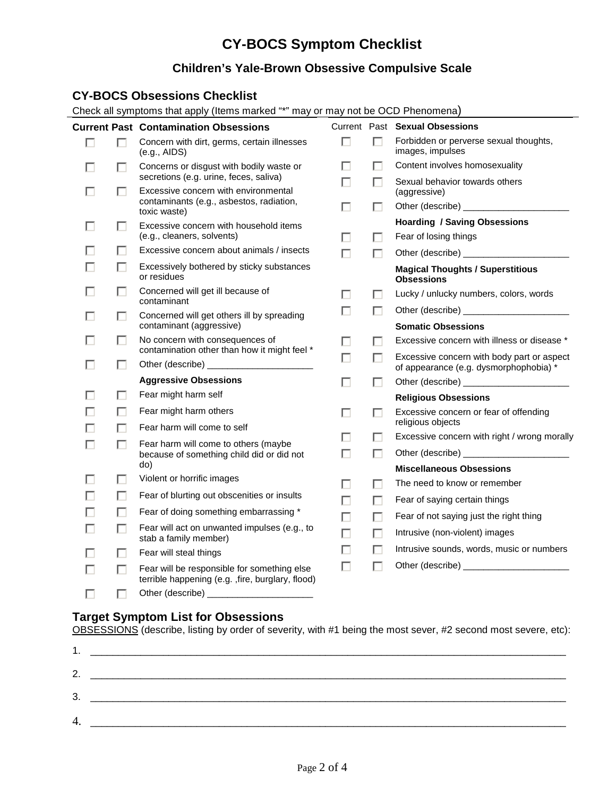## **Children's Yale-Brown Obsessive Compulsive Scale**

#### **CY-BOCS Obsessions Checklist**

Check all symptoms that apply (Items marked "\*" may or may not be OCD Phenomena)

|   |   | <b>Current Past Contamination Obsessions</b>                                                     |   |   | Current Past Sexual Obsessions                                                       |
|---|---|--------------------------------------------------------------------------------------------------|---|---|--------------------------------------------------------------------------------------|
| П | п | Concern with dirt, germs, certain illnesses<br>(e.g., AIDS)                                      | П | п | Forbidden or perverse sexual thoughts,<br>images, impulses                           |
|   | П | Concerns or disgust with bodily waste or                                                         |   | п | Content involves homosexuality                                                       |
|   | H | secretions (e.g. urine, feces, saliva)<br>Excessive concern with environmental                   | П | П | Sexual behavior towards others<br>(aggressive)                                       |
|   |   | contaminants (e.g., asbestos, radiation,<br>toxic waste)                                         | П | П |                                                                                      |
|   | п | Excessive concern with household items                                                           |   |   | <b>Hoarding / Saving Obsessions</b>                                                  |
|   |   | (e.g., cleaners, solvents)                                                                       | ш | п | Fear of losing things                                                                |
|   | п | Excessive concern about animals / insects                                                        | ш | П | Other (describe) ____________________                                                |
|   | H | Excessively bothered by sticky substances<br>or residues                                         |   |   | <b>Magical Thoughts / Superstitious</b><br><b>Obsessions</b>                         |
|   | ш | Concerned will get ill because of<br>contaminant                                                 |   |   | Lucky / unlucky numbers, colors, words                                               |
|   | п | Concerned will get others ill by spreading                                                       | Ш | п |                                                                                      |
|   |   | contaminant (aggressive)                                                                         |   |   | <b>Somatic Obsessions</b>                                                            |
|   | п | No concern with consequences of<br>contamination other than how it might feel *                  | п |   | Excessive concern with illness or disease *                                          |
|   | п |                                                                                                  | П | п | Excessive concern with body part or aspect<br>of appearance (e.g. dysmorphophobia) * |
|   |   | <b>Aggressive Obsessions</b>                                                                     | п | п |                                                                                      |
|   | H | Fear might harm self                                                                             |   |   | <b>Religious Obsessions</b>                                                          |
|   | п | Fear might harm others                                                                           |   |   | Excessive concern or fear of offending                                               |
|   | П | Fear harm will come to self                                                                      |   |   | religious objects                                                                    |
|   | П | Fear harm will come to others (maybe                                                             |   | H | Excessive concern with right / wrong morally                                         |
|   |   | because of something child did or did not                                                        | п | п |                                                                                      |
|   |   | do)                                                                                              |   |   | <b>Miscellaneous Obsessions</b>                                                      |
|   | П | Violent or horrific images                                                                       |   | ш | The need to know or remember                                                         |
|   | п | Fear of blurting out obscenities or insults                                                      | П | П | Fear of saying certain things                                                        |
|   | П | Fear of doing something embarrassing *                                                           | П | П | Fear of not saying just the right thing                                              |
|   | H | Fear will act on unwanted impulses (e.g., to<br>stab a family member)                            | П | п | Intrusive (non-violent) images                                                       |
|   | п | Fear will steal things                                                                           |   | п | Intrusive sounds, words, music or numbers                                            |
|   | П | Fear will be responsible for something else<br>terrible happening (e.g. , fire, burglary, flood) |   |   |                                                                                      |
|   |   |                                                                                                  |   |   |                                                                                      |

#### **Target Symptom List for Obsessions**

OBSESSIONS (describe, listing by order of severity, with #1 being the most sever, #2 second most severe, etc):

| л<br>. .      |  |
|---------------|--|
| $\mathcal{P}$ |  |
| 3.            |  |
| 4.            |  |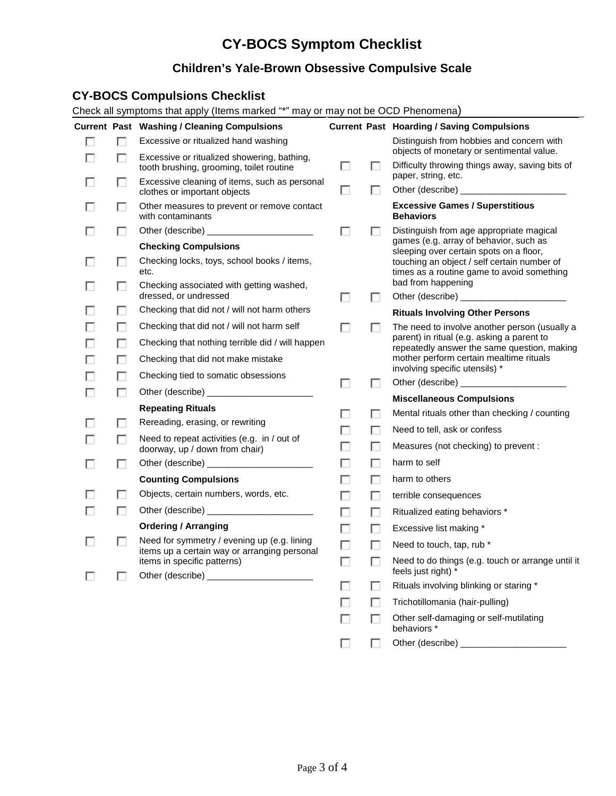## **Children's Yale-Brown Obsessive Compulsive Scale**

### **CY-BOCS Compulsions Checklist**

Check all symptoms that apply (Items marked "\*" may or may not be OCD Phenomena)

|   |   | <b>Current Past Washing / Cleaning Compulsions</b>                                      |   |   | <b>Current Past Hoarding / Saving Compulsions</b>                                            |
|---|---|-----------------------------------------------------------------------------------------|---|---|----------------------------------------------------------------------------------------------|
| п | п | Excessive or ritualized hand washing                                                    |   |   | Distinguish from hobbies and concern with                                                    |
|   | П | Excessive or ritualized showering, bathing,<br>tooth brushing, grooming, toilet routine | П | □ | objects of monetary or sentimental value.<br>Difficulty throwing things away, saving bits of |
|   | ш | Excessive cleaning of items, such as personal<br>clothes or important objects           | П | п | paper, string, etc.                                                                          |
|   | ш | Other measures to prevent or remove contact<br>with contaminants                        |   |   | <b>Excessive Games / Superstitious</b><br><b>Behaviors</b>                                   |
|   | ш |                                                                                         | п | ш | Distinguish from age appropriate magical                                                     |
|   |   | <b>Checking Compulsions</b>                                                             |   |   | games (e.g. array of behavior, such as<br>sleeping over certain spots on a floor,            |
|   | П | Checking locks, toys, school books / items,<br>etc.                                     |   |   | touching an object / self certain number of<br>times as a routine game to avoid something    |
|   | □ | Checking associated with getting washed,<br>dressed, or undressed                       | п | п | bad from happening                                                                           |
|   | □ | Checking that did not / will not harm others                                            |   |   | <b>Rituals Involving Other Persons</b>                                                       |
|   | П | Checking that did not / will not harm self                                              | п | П | The need to involve another person (usually a                                                |
|   | П | Checking that nothing terrible did / will happen                                        |   |   | parent) in ritual (e.g. asking a parent to<br>repeatedly answer the same question, making    |
|   | □ | Checking that did not make mistake                                                      |   |   | mother perform certain mealtime rituals                                                      |
|   | п | Checking tied to somatic obsessions                                                     |   |   | involving specific utensils) *                                                               |
| П | □ |                                                                                         | П | □ |                                                                                              |
|   |   | <b>Repeating Rituals</b>                                                                | □ | п | <b>Miscellaneous Compulsions</b><br>Mental rituals other than checking / counting            |
|   | п | Rereading, erasing, or rewriting                                                        | □ | п | Need to tell, ask or confess                                                                 |
|   | □ | Need to repeat activities (e.g. in / out of<br>doorway, up / down from chair)           | □ | п | Measures (not checking) to prevent :                                                         |
|   | □ |                                                                                         | П | п | harm to self                                                                                 |
|   |   | <b>Counting Compulsions</b>                                                             | П | П | harm to others                                                                               |
|   | П | Objects, certain numbers, words, etc.                                                   | □ | П | terrible consequences                                                                        |
|   | □ |                                                                                         | П | п | Ritualized eating behaviors *                                                                |
|   |   | <b>Ordering / Arranging</b>                                                             | П | П | Excessive list making *                                                                      |
|   | □ | Need for symmetry / evening up (e.g. lining                                             | П | П | Need to touch, tap, rub *                                                                    |
|   |   | items up a certain way or arranging personal<br>items in specific patterns)             |   |   | Need to do things (e.g. touch or arrange until it<br>feels just right) *                     |
|   |   |                                                                                         |   |   | Rituals involving blinking or staring *                                                      |
|   |   |                                                                                         |   |   | Trichotillomania (hair-pulling)                                                              |
|   |   |                                                                                         | □ |   | Other self-damaging or self-mutilating<br>behaviors *                                        |
|   |   |                                                                                         |   |   | Other (describe) _________                                                                   |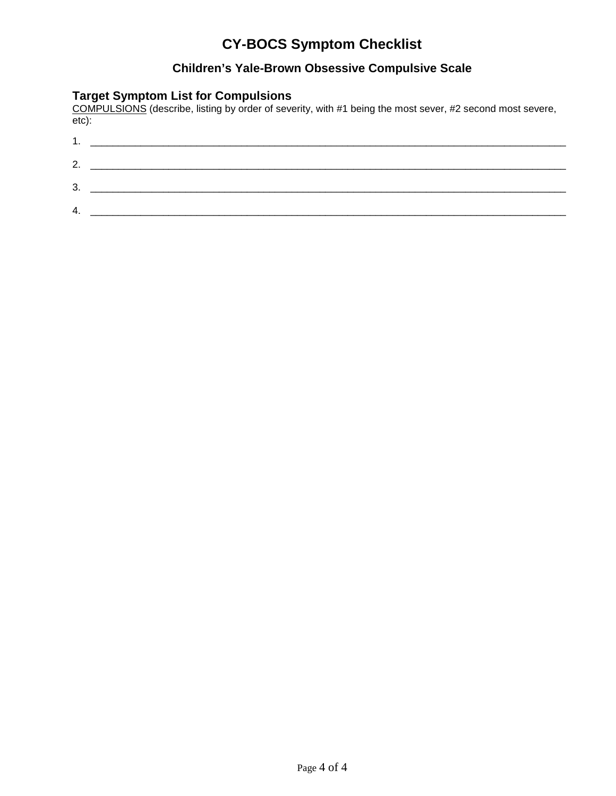## **Children's Yale-Brown Obsessive Compulsive Scale**

#### **Target Symptom List for Compulsions**

COMPULSIONS (describe, listing by order of severity, with #1 being the most sever, #2 second most severe, etc):

| .  |  |
|----|--|
| 2  |  |
| 3. |  |
|    |  |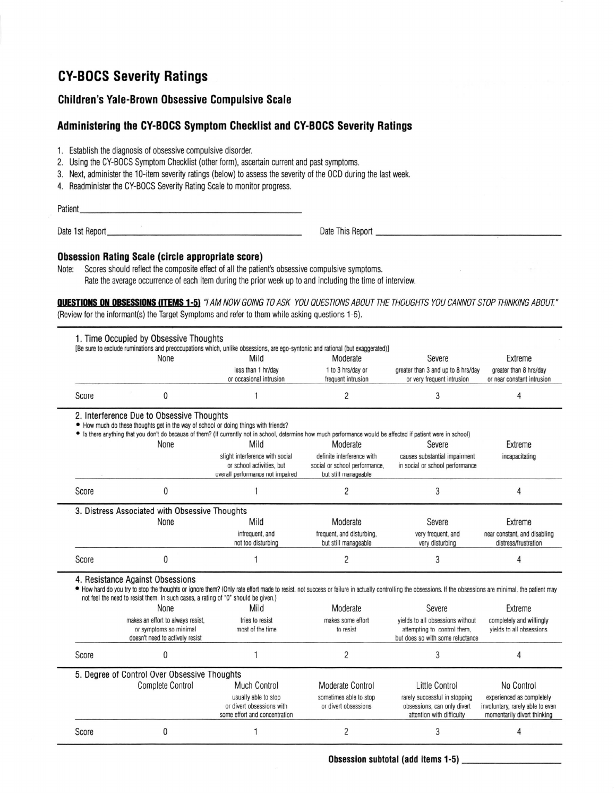## **CY-BOCS Severity Ratings**

#### **Children's Yale-Brown Obsessive Compulsive Scale**

#### Administering the CY-BOCS Symptom Checklist and CY-BOCS Severity Ratings

- 1. Establish the diagnosis of obsessive compulsive disorder.
- 2. Using the CY-BOCS Symptom Checklist (other form), ascertain current and past symptoms.
- 3. Next, administer the 10-item severity ratings (below) to assess the severity of the OCD during the last week.
- 4. Readminister the CY-BOCS Severity Rating Scale to monitor progress.

Patient

Date This Report

#### **Obsession Rating Scale (circle appropriate score)**

Note: Scores should reflect the composite effect of all the patient's obsessive compulsive symptoms. Rate the average occurrence of each item during the prior week up to and including the time of interview.

**QUESTIONS ON OBSESSIONS (ITEMS 1-5)** "I AM NOW GOING TO ASK YOU QUESTIONS ABOUT THE THOUGHTS YOU CANNOT STOP THINKING ABOUT." (Review for the informant(s) the Target Symptoms and refer to them while asking questions 1-5).

|                                              |       | 1. Time Occupied by Obsessive Thoughts                                                                                                                                                                                                                                                                                                                                                                                                                                                                                                                                                                                                                                                                                                                                                                                                                                                                                                                                                                                           | [Be sure to exclude ruminations and preoccupations which, unlike obsessions, are ego-syntonic and rational (but exaggerated)]                                   |                                                                                     |                                                                  |                                                                 |  |
|----------------------------------------------|-------|----------------------------------------------------------------------------------------------------------------------------------------------------------------------------------------------------------------------------------------------------------------------------------------------------------------------------------------------------------------------------------------------------------------------------------------------------------------------------------------------------------------------------------------------------------------------------------------------------------------------------------------------------------------------------------------------------------------------------------------------------------------------------------------------------------------------------------------------------------------------------------------------------------------------------------------------------------------------------------------------------------------------------------|-----------------------------------------------------------------------------------------------------------------------------------------------------------------|-------------------------------------------------------------------------------------|------------------------------------------------------------------|-----------------------------------------------------------------|--|
|                                              |       | None                                                                                                                                                                                                                                                                                                                                                                                                                                                                                                                                                                                                                                                                                                                                                                                                                                                                                                                                                                                                                             | Mild                                                                                                                                                            | Moderate                                                                            | Severe                                                           | Extreme                                                         |  |
|                                              |       |                                                                                                                                                                                                                                                                                                                                                                                                                                                                                                                                                                                                                                                                                                                                                                                                                                                                                                                                                                                                                                  | less than 1 hr/day<br>or occasional intrusion                                                                                                                   | 1 to 3 hrs/day or<br>frequent intrusion                                             | greater than 3 and up to 8 hrs/day<br>or very frequent intrusion | greater than 8 hrs/day<br>or near constant intrusion            |  |
|                                              | Score | 0                                                                                                                                                                                                                                                                                                                                                                                                                                                                                                                                                                                                                                                                                                                                                                                                                                                                                                                                                                                                                                |                                                                                                                                                                 | 2                                                                                   | 3                                                                | 4                                                               |  |
|                                              |       | 2. Interference Due to Obsessive Thoughts<br>• How much do these thoughts get in the way of school or doing things with friends?                                                                                                                                                                                                                                                                                                                                                                                                                                                                                                                                                                                                                                                                                                                                                                                                                                                                                                 | • Is there anything that you don't do because of them? (If currently not in school, determine how much performance would be affected if patient were in school) |                                                                                     |                                                                  |                                                                 |  |
|                                              |       | None                                                                                                                                                                                                                                                                                                                                                                                                                                                                                                                                                                                                                                                                                                                                                                                                                                                                                                                                                                                                                             | Mild                                                                                                                                                            | Moderate                                                                            | Severe                                                           | Extreme                                                         |  |
|                                              |       |                                                                                                                                                                                                                                                                                                                                                                                                                                                                                                                                                                                                                                                                                                                                                                                                                                                                                                                                                                                                                                  | slight interference with social<br>or school activities, but<br>overall performance not impaired                                                                | definite interference with<br>social or school performance.<br>but still manageable | causes substantial impairment<br>in social or school performance | incapacitating                                                  |  |
|                                              | Score | $\mathbf{0}$                                                                                                                                                                                                                                                                                                                                                                                                                                                                                                                                                                                                                                                                                                                                                                                                                                                                                                                                                                                                                     |                                                                                                                                                                 | 2                                                                                   | 3                                                                | 4                                                               |  |
|                                              |       |                                                                                                                                                                                                                                                                                                                                                                                                                                                                                                                                                                                                                                                                                                                                                                                                                                                                                                                                                                                                                                  |                                                                                                                                                                 |                                                                                     |                                                                  |                                                                 |  |
|                                              |       | None                                                                                                                                                                                                                                                                                                                                                                                                                                                                                                                                                                                                                                                                                                                                                                                                                                                                                                                                                                                                                             | Mild                                                                                                                                                            | Moderate                                                                            | Severe                                                           | Extreme                                                         |  |
|                                              |       |                                                                                                                                                                                                                                                                                                                                                                                                                                                                                                                                                                                                                                                                                                                                                                                                                                                                                                                                                                                                                                  | infrequent, and<br>not too disturbing                                                                                                                           | frequent, and disturbing.<br>but still manageable                                   | very frequent, and<br>very disturbing                            | near constant, and disabling<br>distress/frustration            |  |
|                                              | Score | $\mathbf{0}$                                                                                                                                                                                                                                                                                                                                                                                                                                                                                                                                                                                                                                                                                                                                                                                                                                                                                                                                                                                                                     |                                                                                                                                                                 | $\overline{c}$                                                                      | 3                                                                | 4                                                               |  |
|                                              |       | 3. Distress Associated with Obsessive Thoughts<br>4. Resistance Against Obsessions<br>I how hard do you try to stop the thoughts or ignore them? (Only rate effort made to resist, not success or failure in actually controlling the obsessions. If the obsessions are minimal, the patient may<br>not feel the need to resist them. In such cases, a rating of "0" should be given.)<br>Moderate<br>None<br>Severe<br>Extreme<br>Mild<br>makes an effort to always resist,<br>vields to all obsessions without<br>tries to resist<br>makes some effort<br>completely and willingly<br>or symptoms so minimal<br>most of the time<br>attempting to control them,<br>vields to all obsessions<br>to resist<br>but does so with some reluctance<br>doesn't need to actively resist<br>2<br>3<br>$\Omega$<br>1<br>4<br><b>Complete Control</b><br>Much Control<br>Moderate Control<br>Little Control<br>No Control<br>usually able to stop<br>sometimes able to stop<br>rarely successful in stopping<br>experienced as completely |                                                                                                                                                                 |                                                                                     |                                                                  |                                                                 |  |
|                                              |       |                                                                                                                                                                                                                                                                                                                                                                                                                                                                                                                                                                                                                                                                                                                                                                                                                                                                                                                                                                                                                                  |                                                                                                                                                                 |                                                                                     |                                                                  |                                                                 |  |
|                                              |       |                                                                                                                                                                                                                                                                                                                                                                                                                                                                                                                                                                                                                                                                                                                                                                                                                                                                                                                                                                                                                                  |                                                                                                                                                                 |                                                                                     |                                                                  |                                                                 |  |
|                                              | Score |                                                                                                                                                                                                                                                                                                                                                                                                                                                                                                                                                                                                                                                                                                                                                                                                                                                                                                                                                                                                                                  |                                                                                                                                                                 |                                                                                     |                                                                  |                                                                 |  |
| 5. Degree of Control Over Obsessive Thoughts |       |                                                                                                                                                                                                                                                                                                                                                                                                                                                                                                                                                                                                                                                                                                                                                                                                                                                                                                                                                                                                                                  |                                                                                                                                                                 |                                                                                     |                                                                  |                                                                 |  |
|                                              |       |                                                                                                                                                                                                                                                                                                                                                                                                                                                                                                                                                                                                                                                                                                                                                                                                                                                                                                                                                                                                                                  |                                                                                                                                                                 |                                                                                     |                                                                  |                                                                 |  |
|                                              |       |                                                                                                                                                                                                                                                                                                                                                                                                                                                                                                                                                                                                                                                                                                                                                                                                                                                                                                                                                                                                                                  | or divert obsessions with<br>some effort and concentration                                                                                                      | or divert obsessions                                                                | obsessions, can only divert<br>attention with difficulty         | involuntary, rarely able to even<br>momentarily divert thinking |  |
|                                              | Score | 0                                                                                                                                                                                                                                                                                                                                                                                                                                                                                                                                                                                                                                                                                                                                                                                                                                                                                                                                                                                                                                |                                                                                                                                                                 | 2                                                                                   | 3                                                                | Δ                                                               |  |